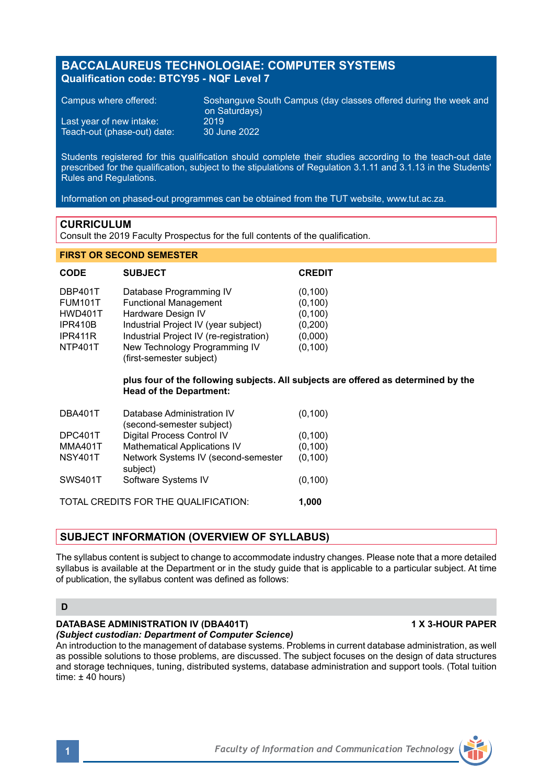# **BACCALAUREUS TECHNOLOGIAE: COMPUTER SYSTEMS Qualification code: BTCY95 - NQF Level 7**

Last year of new intake: 2019<br>Teach-out (phase-out) date: 30 June 2022 Teach-out (phase-out) date:

Campus where offered: Soshanguve South Campus (day classes offered during the week and on Saturdays)

Students registered for this qualification should complete their studies according to the teach-out date prescribed for the qualification, subject to the stipulations of Regulation 3.1.11 and 3.1.13 in the Students' Rules and Regulations.

Information on phased-out programmes can be obtained from the TUT website, www.tut.ac.za.

### **CURRICULUM**

Consult the 2019 Faculty Prospectus for the full contents of the qualification.

### **FIRST OR SECOND SEMESTER**

| <b>CODE</b>    | <b>SUBJECT</b>                                            | <b>CREDIT</b> |
|----------------|-----------------------------------------------------------|---------------|
| DBP401T        | Database Programming IV                                   | (0, 100)      |
| <b>FUM101T</b> | <b>Functional Management</b>                              | (0, 100)      |
| <b>HWD401T</b> | Hardware Design IV                                        | (0, 100)      |
| IPR410B        | Industrial Project IV (year subject)                      | (0,200)       |
| IPR411R        | Industrial Project IV (re-registration)                   | (0,000)       |
| NTP401T        | New Technology Programming IV<br>(first-semester subject) | (0, 100)      |

## **plus four of the following subjects. All subjects are offered as determined by the Head of the Department:**

| DBA401T                              | Database Administration IV<br>(second-semester subject) | (0, 100) |
|--------------------------------------|---------------------------------------------------------|----------|
| DPC401T                              | Digital Process Control IV                              | (0, 100) |
| <b>MMA401T</b>                       | <b>Mathematical Applications IV</b>                     | (0, 100) |
| <b>NSY401T</b>                       | Network Systems IV (second-semester<br>subject)         | (0, 100) |
| <b>SWS401T</b>                       | Software Systems IV                                     | (0, 100) |
| TOTAL CREDITS FOR THE QUALIFICATION: |                                                         |          |

# **SUBJECT INFORMATION (OVERVIEW OF SYLLABUS)**

The syllabus content is subject to change to accommodate industry changes. Please note that a more detailed syllabus is available at the Department or in the study guide that is applicable to a particular subject. At time of publication, the syllabus content was defined as follows:

### **D**

# **DATABASE ADMINISTRATION IV (DBA401T) 1 X 3-HOUR PAPER**

*(Subject custodian: Department of Computer Science)*

An introduction to the management of database systems. Problems in current database administration, as well as possible solutions to those problems, are discussed. The subject focuses on the design of data structures and storage techniques, tuning, distributed systems, database administration and support tools. (Total tuition time:  $\pm$  40 hours)

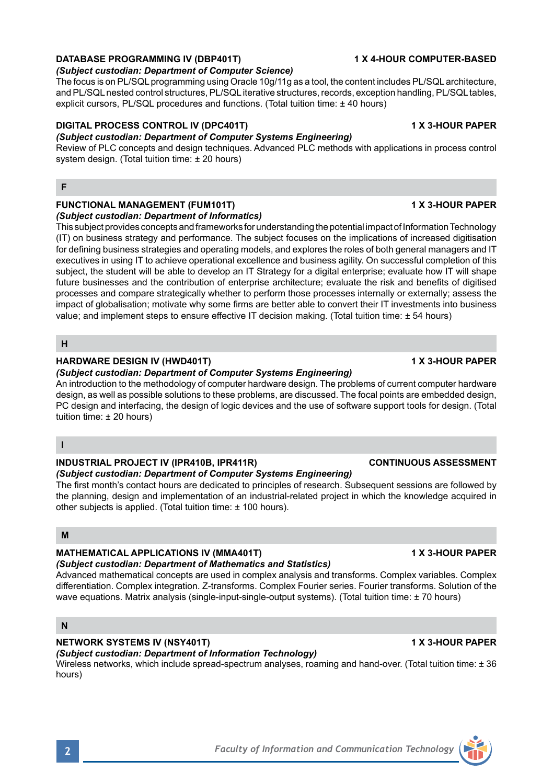# **DATABASE PROGRAMMING IV (DBP401T) 1 X 4-HOUR COMPUTER-BASED**

# *(Subject custodian: Department of Computer Science)*

The focus is on PL/SQL programming using Oracle 10g/11g as a tool, the content includes PL/SQL architecture, and PL/SQL nested control structures, PL/SQL iterative structures, records, exception handling, PL/SQL tables, explicit cursors, PL/SQL procedures and functions. (Total tuition time: ± 40 hours)

# **DIGITAL PROCESS CONTROL IV (DPC401T) 1 X 3-HOUR PAPER**

# *(Subject custodian: Department of Computer Systems Engineering)*

Review of PLC concepts and design techniques. Advanced PLC methods with applications in process control system design. (Total tuition time: ± 20 hours)

# **F**

# **FUNCTIONAL MANAGEMENT (FUM101T) 1 X 3-HOUR PAPER**

*(Subject custodian: Department of Informatics)*

This subject provides concepts and frameworks for understanding the potential impact of Information Technology (IT) on business strategy and performance. The subject focuses on the implications of increased digitisation for defining business strategies and operating models, and explores the roles of both general managers and IT executives in using IT to achieve operational excellence and business agility. On successful completion of this subject, the student will be able to develop an IT Strategy for a digital enterprise; evaluate how IT will shape future businesses and the contribution of enterprise architecture; evaluate the risk and benefits of digitised processes and compare strategically whether to perform those processes internally or externally; assess the impact of globalisation; motivate why some firms are better able to convert their IT investments into business value; and implement steps to ensure effective IT decision making. (Total tuition time: ± 54 hours)

### **H**

## **HARDWARE DESIGN IV (HWD401T)** 1 X 3-HOUR PAPER

*(Subject custodian: Department of Computer Systems Engineering)*

An introduction to the methodology of computer hardware design. The problems of current computer hardware design, as well as possible solutions to these problems, are discussed. The focal points are embedded design, PC design and interfacing, the design of logic devices and the use of software support tools for design. (Total tuition time: ± 20 hours)

## **I**

## **INDUSTRIAL PROJECT IV (IPR410B, IPR411R) CONTINUOUS ASSESSMENT**

### *(Subject custodian: Department of Computer Systems Engineering)*

The first month's contact hours are dedicated to principles of research. Subsequent sessions are followed by the planning, design and implementation of an industrial-related project in which the knowledge acquired in other subjects is applied. (Total tuition time: ± 100 hours).

# **M**

## **MATHEMATICAL APPLICATIONS IV (MMA401T) 1 X 3-HOUR PAPER**

# *(Subject custodian: Department of Mathematics and Statistics)*

Advanced mathematical concepts are used in complex analysis and transforms. Complex variables. Complex differentiation. Complex integration. Z-transforms. Complex Fourier series. Fourier transforms. Solution of the wave equations. Matrix analysis (single-input-single-output systems). (Total tuition time: ± 70 hours)

## **N**

# **NETWORK SYSTEMS IV (NSY401T) 1 X 3-HOUR PAPER**

# *(Subject custodian: Department of Information Technology)*

Wireless networks, which include spread-spectrum analyses, roaming and hand-over. (Total tuition time: ± 36 hours)